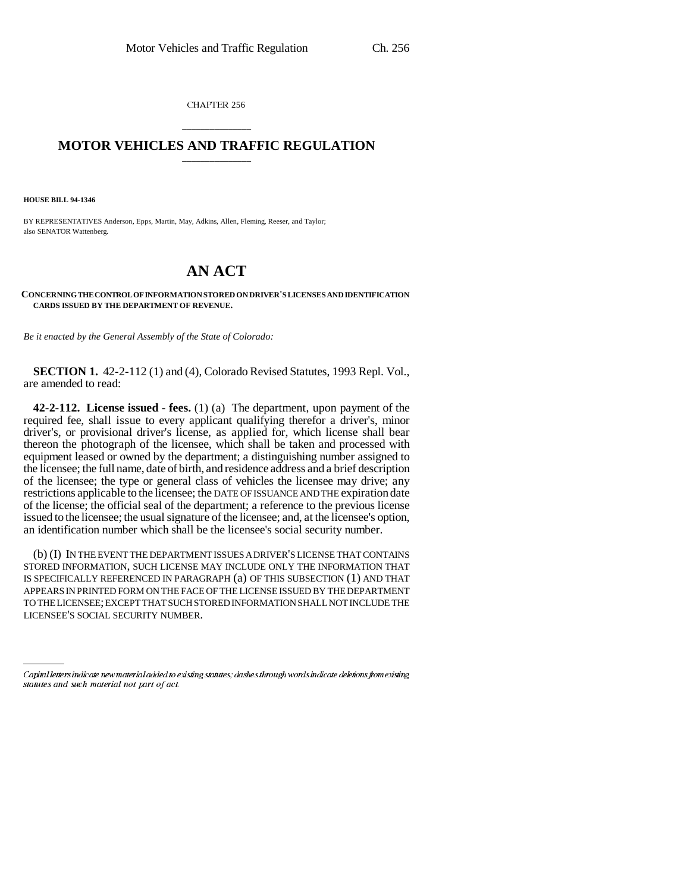CHAPTER 256

## \_\_\_\_\_\_\_\_\_\_\_\_\_\_\_ **MOTOR VEHICLES AND TRAFFIC REGULATION** \_\_\_\_\_\_\_\_\_\_\_\_\_\_\_

**HOUSE BILL 94-1346**

BY REPRESENTATIVES Anderson, Epps, Martin, May, Adkins, Allen, Fleming, Reeser, and Taylor; also SENATOR Wattenberg.

## **AN ACT**

**CONCERNING THE CONTROL OF INFORMATION STORED ON DRIVER'S LICENSES AND IDENTIFICATION CARDS ISSUED BY THE DEPARTMENT OF REVENUE.**

*Be it enacted by the General Assembly of the State of Colorado:*

**SECTION 1.** 42-2-112 (1) and (4), Colorado Revised Statutes, 1993 Repl. Vol., are amended to read:

**42-2-112. License issued - fees.** (1) (a) The department, upon payment of the required fee, shall issue to every applicant qualifying therefor a driver's, minor driver's, or provisional driver's license, as applied for, which license shall bear thereon the photograph of the licensee, which shall be taken and processed with equipment leased or owned by the department; a distinguishing number assigned to the licensee; the full name, date of birth, and residence address and a brief description of the licensee; the type or general class of vehicles the licensee may drive; any restrictions applicable to the licensee; the DATE OF ISSUANCE AND THE expiration date of the license; the official seal of the department; a reference to the previous license issued to the licensee; the usual signature of the licensee; and, at the licensee's option, an identification number which shall be the licensee's social security number.

(b) (I) IN THE EVENT THE DEPARTMENT ISSUES A DRIVER'S LICENSE THAT CONTAINS STORED INFORMATION, SUCH LICENSE MAY INCLUDE ONLY THE INFORMATION THAT IS SPECIFICALLY REFERENCED IN PARAGRAPH (a) OF THIS SUBSECTION (1) AND THAT APPEARS IN PRINTED FORM ON THE FACE OF THE LICENSE ISSUED BY THE DEPARTMENT TO THE LICENSEE; EXCEPT THAT SUCH STORED INFORMATION SHALL NOT INCLUDE THE LICENSEE'S SOCIAL SECURITY NUMBER.

Capital letters indicate new material added to existing statutes; dashes through words indicate deletions from existing statutes and such material not part of act.